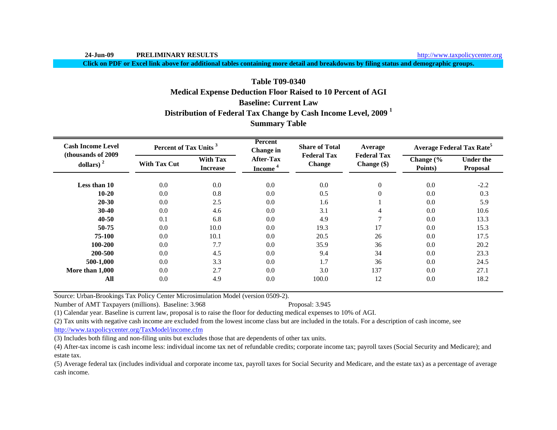http://www.taxpolicycenter.org

**Click on PDF or Excel link above for additional tables containing more detail and breakdowns by filing status and demographic groups.**

# **Baseline: Current LawTable T09-0340Medical Expense Deduction Floor Raised to 10 Percent of AGI**

**Distribution of Federal Tax Change by Cash Income Level, 2009 <sup>1</sup>**

**Summary Table**

| <b>Cash Income Level</b><br>(thousands of 2009) | Percent of Tax Units <sup>3</sup> |                                    | Percent<br><b>Change</b> in             | <b>Share of Total</b>               | Average                           |                      | <b>Average Federal Tax Rate<sup>5</sup></b> |
|-------------------------------------------------|-----------------------------------|------------------------------------|-----------------------------------------|-------------------------------------|-----------------------------------|----------------------|---------------------------------------------|
| dollars) $2$                                    | <b>With Tax Cut</b>               | <b>With Tax</b><br><b>Increase</b> | <b>After-Tax</b><br>Income <sup>4</sup> | <b>Federal Tax</b><br><b>Change</b> | <b>Federal Tax</b><br>Change (\$) | Change (%<br>Points) | <b>Under the</b><br>Proposal                |
| Less than 10                                    | 0.0                               | 0.0                                | 0.0                                     | 0.0                                 | $\boldsymbol{0}$                  | 0.0                  | $-2.2$                                      |
| $10 - 20$                                       | 0.0                               | 0.8                                | 0.0                                     | 0.5                                 | $\overline{0}$                    | 0.0                  | 0.3                                         |
| $20 - 30$                                       | 0.0                               | 2.5                                | 0.0                                     | 1.6                                 |                                   | 0.0                  | 5.9                                         |
| $30 - 40$                                       | 0.0                               | 4.6                                | 0.0                                     | 3.1                                 | 4                                 | 0.0                  | 10.6                                        |
| $40 - 50$                                       | 0.1                               | 6.8                                | 0.0                                     | 4.9                                 | 7                                 | 0.0                  | 13.3                                        |
| 50-75                                           | 0.0                               | 10.0                               | 0.0                                     | 19.3                                | 17                                | 0.0                  | 15.3                                        |
| 75-100                                          | 0.0                               | 10.1                               | 0.0                                     | 20.5                                | 26                                | 0.0                  | 17.5                                        |
| 100-200                                         | 0.0                               | 7.7                                | 0.0                                     | 35.9                                | 36                                | 0.0                  | 20.2                                        |
| 200-500                                         | 0.0                               | 4.5                                | 0.0                                     | 9.4                                 | 34                                | 0.0                  | 23.3                                        |
| 500-1,000                                       | 0.0                               | 3.3                                | 0.0                                     | 1.7                                 | 36                                | 0.0                  | 24.5                                        |
| More than 1,000                                 | 0.0                               | 2.7                                | 0.0                                     | 3.0                                 | 137                               | 0.0                  | 27.1                                        |
| All                                             | 0.0                               | 4.9                                | 0.0                                     | 100.0                               | 12                                | 0.0                  | 18.2                                        |

Source: Urban-Brookings Tax Policy Center Microsimulation Model (version 0509-2).

Number of AMT Taxpayers (millions). Baseline: 3.968 Proposal: 3.945

(1) Calendar year. Baseline is current law, proposal is to raise the floor for deducting medical expenses to 10% of AGI.

(2) Tax units with negative cash income are excluded from the lowest income class but are included in the totals. For a description of cash income, see

http://www.taxpolicycenter.org/TaxModel/income.cfm

(3) Includes both filing and non-filing units but excludes those that are dependents of other tax units.

(4) After-tax income is cash income less: individual income tax net of refundable credits; corporate income tax; payroll taxes (Social Security and Medicare); and estate tax.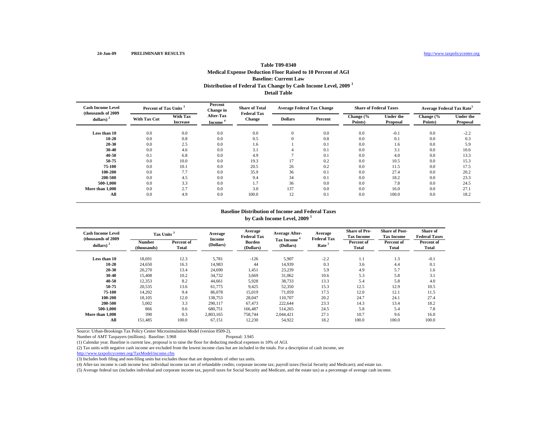# **Distribution of Federal Tax Change by Cash Income Level, 2009 <sup>1</sup> Detail TableTable T09-0340Medical Expense Deduction Floor Raised to 10 Percent of AGI Baseline: Current Law**

| <b>Cash Income Level</b><br>(thousands of 2009 | Percent of Tax Units <sup>3</sup> |                             | Percent<br><b>Share of Total</b><br><b>Change</b> in<br><b>Federal Tax</b> |               |                | <b>Average Federal Tax Change</b> | <b>Share of Federal Taxes</b> |                              | <b>Average Federal Tax Rate<sup>5</sup></b> |                              |
|------------------------------------------------|-----------------------------------|-----------------------------|----------------------------------------------------------------------------|---------------|----------------|-----------------------------------|-------------------------------|------------------------------|---------------------------------------------|------------------------------|
| dollars) $2$                                   | <b>With Tax Cut</b>               | With Tax<br><b>Increase</b> | After-Tax<br><b>Income</b>                                                 | <b>Change</b> | <b>Dollars</b> | Percent                           | Change (%<br>Points)          | <b>Under the</b><br>Proposal | Change (%<br>Points)                        | <b>Under the</b><br>Proposal |
| Less than 10                                   | 0.0                               | 0.0                         | 0.0                                                                        | 0.0           | $\mathbf{0}$   | 0.0                               | 0.0                           | $-0.1$                       | 0.0                                         | $-2.2$                       |
| 10-20                                          | 0.0                               | 0.8                         | 0.0                                                                        | 0.5           |                | 0.8                               | 0.0                           | 0.1                          | 0.0                                         | 0.3                          |
| 20-30                                          | 0.0                               | 2.5                         | 0.0                                                                        | 1.6           |                | 0.1                               | 0.0                           | 1.6                          | 0.0                                         | 5.9                          |
| 30-40                                          | 0.0                               | 4.6                         | 0.0                                                                        | 3.1           |                | 0.1                               | 0.0                           | 3.1                          | 0.0                                         | 10.6                         |
| 40-50                                          | 0.1                               | 6.8                         | 0.0                                                                        | 4.9           |                | 0.1                               | 0.0                           | 4.0                          | 0.0                                         | 13.3                         |
| 50-75                                          | 0.0                               | 10.0                        | 0.0                                                                        | 19.3          | 17             | 0.2                               | 0.0                           | 10.5                         | 0.0                                         | 15.3                         |
| 75-100                                         | 0.0                               | 10.1                        | 0.0                                                                        | 20.5          | 26             | 0.2                               | 0.0                           | 11.5                         | 0.0                                         | 17.5                         |
| 100-200                                        | 0.0                               | 7.7                         | 0.0                                                                        | 35.9          | 36             | 0.1                               | 0.0                           | 27.4                         | 0.0                                         | 20.2                         |
| 200-500                                        | 0.0                               | 4.5                         | 0.0                                                                        | 9.4           | 34             | 0.1                               | 0.0                           | 18.2                         | 0.0                                         | 23.3                         |
| 500-1.000                                      | 0.0                               | 3.3                         | 0.0                                                                        | 1.7           | 36             | 0.0                               | 0.0                           | 7.8                          | 0.0                                         | 24.5                         |
| More than 1,000                                | 0.0                               | 2.7                         | 0.0                                                                        | 3.0           | 137            | 0.0                               | 0.0                           | 16.0                         | 0.0                                         | 27.1                         |
| All                                            | 0.0                               | 4.9                         | 0.0                                                                        | 100.0         | 12             | 0.1                               | 0.0                           | 100.0                        | 0.0                                         | 18.2                         |

#### **Baseline Distribution of Income and Federal Taxesby Cash Income Level, 2000**  $^1$

|  | DV Casn Income Level, 2009 |  |  |
|--|----------------------------|--|--|
|--|----------------------------|--|--|

| <b>Cash Income Level</b><br>(thousands of 2009) | Tax Units             |                            | Average                    | Average<br><b>Federal Tax</b> | <b>Average After-</b>                  | Average<br><b>Federal Tax</b> | <b>Share of Pre-</b><br><b>Tax Income</b> | <b>Share of Post-</b><br><b>Tax Income</b> | <b>Share of</b><br><b>Federal Taxes</b> |
|-------------------------------------------------|-----------------------|----------------------------|----------------------------|-------------------------------|----------------------------------------|-------------------------------|-------------------------------------------|--------------------------------------------|-----------------------------------------|
| dollars) $2$                                    | Number<br>(thousands) | Percent of<br><b>Total</b> | <b>Income</b><br>(Dollars) | <b>Burden</b><br>(Dollars)    | <b>Tax Income</b><br>Rate<br>(Dollars) |                               | Percent of<br><b>Total</b>                | Percent of<br>Total                        | Percent of<br>Total                     |
| Less than 10                                    | 18,691                | 12.3                       | 5,781                      | $-126$                        | 5,907                                  | $-2.2$                        | 1.1                                       | 1.3                                        | $-0.1$                                  |
| $10 - 20$                                       | 24,650                | 16.3                       | 14,983                     | 44                            | 14,939                                 | 0.3                           | 3.6                                       | 4.4                                        | 0.1                                     |
| 20-30                                           | 20,270                | 13.4                       | 24,690                     | 1,451                         | 23,239                                 | 5.9                           | 4.9                                       | 5.7                                        | 1.6                                     |
| 30-40                                           | 15,408                | 10.2                       | 34,732                     | 3,669                         | 31,062                                 | 10.6                          | 5.3                                       | 5.8                                        | 3.1                                     |
| 40-50                                           | 12,353                | 8.2                        | 44,661                     | 5,928                         | 38,733                                 | 13.3                          | 5.4                                       | 5.8                                        | 4.0                                     |
| 50-75                                           | 20,535                | 13.6                       | 61,775                     | 9,425                         | 52,350                                 | 15.3                          | 12.5                                      | 12.9                                       | 10.5                                    |
| 75-100                                          | 14,202                | 9.4                        | 86,078                     | 15,019                        | 71,059                                 | 17.5                          | 12.0                                      | 12.1                                       | 11.5                                    |
| 100-200                                         | 18.105                | 12.0                       | 138,753                    | 28,047                        | 110.707                                | 20.2                          | 24.7                                      | 24.1                                       | 27.4                                    |
| 200-500                                         | 5,002                 | 3.3                        | 290,117                    | 67,473                        | 222,644                                | 23.3                          | 14.3                                      | 13.4                                       | 18.2                                    |
| 500-1.000                                       | 866                   | 0.6                        | 680,751                    | 166.487                       | 514.265                                | 24.5                          | 5.8                                       | 5.4                                        | 7.8                                     |
| More than 1,000                                 | 390                   | 0.3                        | 2,803,165                  | 758,744                       | 2.044.421                              | 27.1                          | 10.7                                      | 9.6                                        | 16.0                                    |
| All                                             | 151,485               | 100.0                      | 67,151                     | 12,230                        | 54,922                                 | 18.2                          | 100.0                                     | 100.0                                      | 100.0                                   |

Source: Urban-Brookings Tax Policy Center Microsimulation Model (version 0509-2).

Number of AMT Taxpayers (millions). Baseline: 3.968 Proposal: 3.945

(1) Calendar year. Baseline is current law, proposal is to raise the floor for deducting medical expenses to 10% of AGI.

(2) Tax units with negative cash income are excluded from the lowest income class but are included in the totals. For a description of cash income, see

http://www.taxpolicycenter.org/TaxModel/income.cfm

(3) Includes both filing and non-filing units but excludes those that are dependents of other tax units.

(4) After-tax income is cash income less: individual income tax net of refundable credits; corporate income tax; payroll taxes (Social Security and Medicare); and estate tax.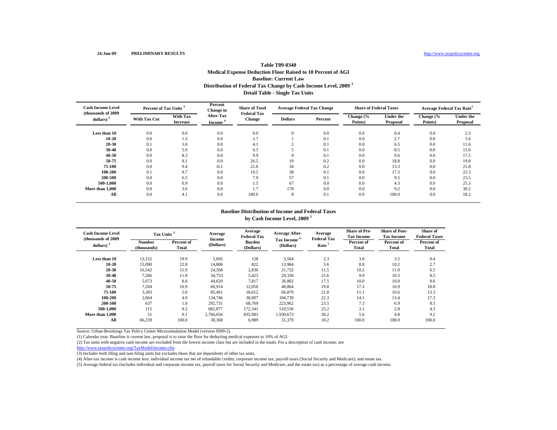# **Distribution of Federal Tax Change by Cash Income Level, 2009 <sup>1</sup> Detail Table - Single Tax Units Table T09-0340Medical Expense Deduction Floor Raised to 10 Percent of AGI Baseline: Current Law**

| <b>Cash Income Level</b><br>(thousands of 2009) |                     | Percent of Tax Units        |                            | <b>Share of Total</b><br><b>Federal Tax</b> |                | <b>Average Federal Tax Change</b> | <b>Share of Federal Taxes</b> |                              | <b>Average Federal Tax Rate<sup>5</sup></b> |                              |
|-------------------------------------------------|---------------------|-----------------------------|----------------------------|---------------------------------------------|----------------|-----------------------------------|-------------------------------|------------------------------|---------------------------------------------|------------------------------|
| dollars) $2$                                    | <b>With Tax Cut</b> | With Tax<br><b>Increase</b> | <b>After-Tax</b><br>Income | <b>Change</b>                               | <b>Dollars</b> | Percent                           | Change (%<br>Points)          | <b>Under the</b><br>Proposal | Change (%<br>Points)                        | <b>Under the</b><br>Proposal |
| Less than 10                                    | 0.0                 | 0.0                         | 0.0                        | 0.0                                         | $\theta$       | 0.0                               | 0.0                           | 0.4                          | 0.0                                         | 2.3                          |
| $10 - 20$                                       | 0.0                 | 1.3                         | 0.0                        | 1.7                                         |                | 0.1                               | 0.0                           | 2.7                          | 0.0                                         | 5.6                          |
| $20 - 30$                                       | 0.1                 | 3.6                         | 0.0                        | 4.1                                         |                | 0.1                               | 0.0                           | 6.5                          | 0.0                                         | 11.6                         |
| $30 - 40$                                       | 0.0                 | 5.9                         | 0.0                        | 6.5                                         |                | 0.1                               | 0.0                           | 8.5                          | 0.0                                         | 15.6                         |
| $40 - 50$                                       | 0.0                 | 8.3                         | 0.0                        | 9.9                                         | O              | 0.1                               | 0.0                           | 9.6                          | 0.0                                         | 17.5                         |
| 50-75                                           | 0.0                 | 9.1                         | 0.0                        | 26.5                                        | 19             | 0.2                               | 0.0                           | 18.8                         | 0.0                                         | 19.8                         |
| 75-100                                          | 0.0                 | 9.4                         | $-0.1$                     | 21.6                                        | 34             | 0.2                               | 0.0                           | 13.3                         | 0.0                                         | 21.8                         |
| 100-200                                         | 0.1                 | 9.7                         | 0.0                        | 19.5                                        | 38             | 0.1                               | 0.0                           | 17.3                         | 0.0                                         | 22.3                         |
| 200-500                                         | 0.0                 | 6.5                         | 0.0                        | 7.0                                         | 57             | 0.1                               | 0.0                           | 9.5                          | 0.0                                         | 23.5                         |
| 500-1.000                                       | 0.0                 | 6.9                         | 0.0                        | 1.5                                         | 67             | 0.0                               | 0.0                           | 4.3                          | 0.0                                         | 25.3                         |
| More than 1.000                                 | 0.0                 | 3.6                         | 0.0                        | 1.7                                         | 178            | 0.0                               | 0.0                           | 9.2                          | 0.0                                         | 30.2                         |
| All                                             | 0.0                 | 4.1                         | 0.0                        | 100.0                                       | 8              | 0.1                               | 0.0                           | 100.0                        | 0.0                                         | 18.2                         |

# **Baseline Distribution of Income and Federal Taxesby Cash Income Level, 2009 <sup>1</sup>**

| <b>Cash Income Level</b><br>(thousands of 2009) | Tax Units <sup>3</sup>       |                     | Average             | Average<br><b>Federal Tax</b> | <b>Average After-</b>          | Average<br><b>Federal Tax</b> | <b>Share of Pre-</b><br><b>Tax Income</b> | <b>Share of Post-</b><br><b>Tax Income</b> | <b>Share of</b><br><b>Federal Taxes</b> |
|-------------------------------------------------|------------------------------|---------------------|---------------------|-------------------------------|--------------------------------|-------------------------------|-------------------------------------------|--------------------------------------------|-----------------------------------------|
| dollars) $2$                                    | <b>Number</b><br>(thousands) | Percent of<br>Total | Income<br>(Dollars) | <b>Burden</b><br>(Dollars)    | <b>Tax Income</b><br>(Dollars) | Rate <sup>5</sup>             | Percent of<br>Total                       | Percent of<br>Total                        | Percent of<br><b>Total</b>              |
| Less than 10                                    | 13,152                       | 19.9                | 5,692               | 128                           | 5,564                          | 2.3                           | 3.0                                       | 3.5                                        | 0.4                                     |
| 10-20                                           | 15,090                       | 22.8                | 14,806              | 822                           | 13,984                         | 5.6                           | 8.8                                       | 10.2                                       | 2.7                                     |
| $20 - 30$                                       | 10,542                       | 15.9                | 24,568              | 2,836                         | 21,732                         | 11.5                          | 10.2                                      | 11.0                                       | 6.5                                     |
| 30-40                                           | 7,266                        | 11.0                | 34,753              | 5,423                         | 29,330                         | 15.6                          | 9.9                                       | 10.3                                       | 8.5                                     |
| $40 - 50$                                       | 5,673                        | 8.6                 | 44,620              | 7,817                         | 36,802                         | 17.5                          | 10.0                                      | 10.0                                       | 9.6                                     |
| 50-75                                           | 7,204                        | 10.9                | 60,914              | 12,050                        | 48,864                         | 19.8                          | 17.3                                      | 16.9                                       | 18.8                                    |
| 75-100                                          | 3,303                        | 5.0                 | 85,491              | 18,612                        | 66,879                         | 21.8                          | 11.1                                      | 10.6                                       | 13.3                                    |
| 100-200                                         | 2,664                        | 4.0                 | 134,746             | 30,007                        | 104,739                        | 22.3                          | 14.1                                      | 13.4                                       | 17.3                                    |
| 200-500                                         | 637                          | 1.0                 | 292,731             | 68,769                        | 223,962                        | 23.5                          | 7.3                                       | 6.9                                        | 9.5                                     |
| 500-1.000                                       | 115                          | 0.2                 | 682,877             | 172,341                       | 510.536                        | 25.2                          | 3.1                                       | 2.8                                        | 4.3                                     |
| More than 1.000                                 | 51                           | 0.1                 | 2.766.656           | 835,983                       | 1.930.673                      | 30.2                          | 5.6                                       | 4.8                                        | 9.2                                     |
| All                                             | 66,239                       | 100.0               | 38,368              | 6,989                         | 31,379                         | 18.2                          | 100.0                                     | 100.0                                      | 100.0                                   |

Source: Urban-Brookings Tax Policy Center Microsimulation Model (version 0509-2).

(1) Calendar year. Baseline is current law, proposal is to raise the floor for deducting medical expenses to 10% of AGI.

(2) Tax units with negative cash income are excluded from the lowest income class but are included in the totals. For a description of cash income, see

http://www.taxpolicycenter.org/TaxModel/income.cfm

(3) Includes both filing and non-filing units but excludes those that are dependents of other tax units.

(4) After-tax income is cash income less: individual income tax net of refundable credits; corporate income tax; payroll taxes (Social Security and Medicare); and estate tax.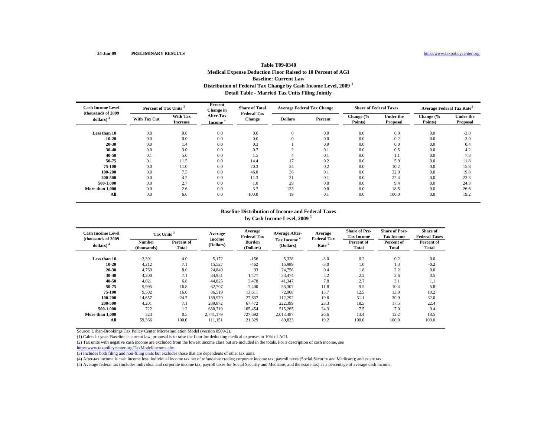# **Distribution of Federal Tax Change by Cash Income Level, 2009 <sup>1</sup> Detail Table - Married Tax Units Filing Jointly Table T09-0340Medical Expense Deduction Floor Raised to 10 Percent of AGI Baseline: Current Law**

| <b>Cash Income Level</b><br>(thousands of 2009) | Percent of Tax Units <sup>3</sup> |                                    | Percent<br><b>Change</b> in | <b>Share of Total</b><br><b>Federal Tax</b> |                | <b>Average Federal Tax Change</b> | <b>Share of Federal Taxes</b> |                              | <b>Average Federal Tax Rate<sup>5</sup></b> |                              |
|-------------------------------------------------|-----------------------------------|------------------------------------|-----------------------------|---------------------------------------------|----------------|-----------------------------------|-------------------------------|------------------------------|---------------------------------------------|------------------------------|
| dollars) $2$                                    | <b>With Tax Cut</b>               | <b>With Tax</b><br><b>Increase</b> | <b>After-Tax</b><br>Income  | Change                                      | <b>Dollars</b> | Percent                           | Change (%<br>Points)          | <b>Under the</b><br>Proposal | Change (%<br>Points)                        | <b>Under the</b><br>Proposal |
| Less than 10                                    | 0.0                               | 0.0                                | 0.0                         | 0.0                                         | $\mathbf{0}$   | 0.0                               | 0.0                           | 0.0                          | 0.0                                         | $-3.0$                       |
| $10 - 20$                                       | 0.0                               | 0.0                                | 0.0                         | 0.0                                         | $\Omega$       | 0.0                               | 0.0                           | $-0.2$                       | 0.0                                         | $-3.0$                       |
| 20-30                                           | 0.0                               | 1.4                                | 0.0                         | 0.3                                         |                | 0.9                               | 0.0                           | 0.0                          | 0.0                                         | 0.4                          |
| $30 - 40$                                       | 0.0                               | 3.0                                | 0.0                         | 0.7                                         | $\sim$         | 0.1                               | 0.0                           | 0.5                          | 0.0                                         | 4.2                          |
| 40-50                                           | 0.1                               | 5.0                                | 0.0                         | 1.5                                         |                | 0.1                               | 0.0                           | 1.1                          | 0.0                                         | 7.8                          |
| 50-75                                           | 0.1                               | 11.5                               | 0.0                         | 14.4                                        | 17             | 0.2                               | 0.0                           | 5.9                          | 0.0                                         | 11.8                         |
| 75-100                                          | 0.0                               | 11.0                               | 0.0                         | 20.3                                        | 24             | 0.2                               | 0.0                           | 10.2                         | 0.0                                         | 15.8                         |
| 100-200                                         | 0.0                               | 7.5                                | 0.0                         | 46.0                                        | 36             | 0.1                               | 0.0                           | 32.0                         | 0.0                                         | 19.8                         |
| 200-500                                         | 0.0                               | 4.2                                | 0.0                         | 11.3                                        | 31             | 0.1                               | 0.0                           | 22.4                         | 0.0                                         | 23.3                         |
| 500-1.000                                       | 0.0                               | 2.7                                | 0.0                         | 1.8                                         | 29             | 0.0                               | 0.0                           | 9.4                          | 0.0                                         | 24.3                         |
| More than 1,000                                 | 0.0                               | 2.6                                | 0.0                         | 3.7                                         | 133            | 0.0                               | 0.0                           | 18.5                         | 0.0                                         | 26.6                         |
| All                                             | 0.0                               | 6.6                                | 0.0                         | 100.0                                       | 19             | 0.1                               | 0.0                           | 100.0                        | 0.0                                         | 19.2                         |

# **Baseline Distribution of Income and Federal Taxesby Cash Income Level, 2009 <sup>1</sup>**

| <b>Cash Income Level</b><br>(thousands of 2009) | Tax Units <sup>3</sup> |                     | Average             | Average<br><b>Federal Tax</b> | <b>Average After-</b>                               | Average<br><b>Federal Tax</b> | <b>Share of Pre-</b><br><b>Tax Income</b> | <b>Share of Post-</b><br><b>Tax Income</b> | <b>Share of</b><br><b>Federal Taxes</b> |
|-------------------------------------------------|------------------------|---------------------|---------------------|-------------------------------|-----------------------------------------------------|-------------------------------|-------------------------------------------|--------------------------------------------|-----------------------------------------|
| dollars) $^{2}$                                 | Number<br>(thousands)  | Percent of<br>Total | Income<br>(Dollars) | <b>Burden</b><br>(Dollars)    | <b>Tax Income</b><br>Rate <sup>5</sup><br>(Dollars) |                               | Percent of<br>Total                       | Percent of<br>Total                        | Percent of<br>Total                     |
| Less than 10                                    | 2,391                  | 4.0                 | 5,172               | $-156$                        | 5,328                                               | $-3.0$                        | 0.2                                       | 0.2                                        | 0.0                                     |
| $10 - 20$                                       | 4,212                  | 7.1                 | 15,527              | $-462$                        | 15,989                                              | $-3.0$                        | 1.0                                       | 1.3                                        | $-0.2$                                  |
| $20 - 30$                                       | 4,769                  | 8.0                 | 24,849              | 93                            | 24,756                                              | 0.4                           | 1.8                                       | 2.2                                        | 0.0                                     |
| 30-40                                           | 4,200                  | 7.1                 | 34,951              | 1,477                         | 33,474                                              | 4.2                           | 2.2                                       | 2.6                                        | 0.5                                     |
| 40-50                                           | 4,021                  | 6.8                 | 44,825              | 3,478                         | 41,347                                              | 7.8                           | 2.7                                       | 3.1                                        | 1.1                                     |
| 50-75                                           | 9,995                  | 16.8                | 62,707              | 7,400                         | 55,307                                              | 11.8                          | 9.5                                       | 10.4                                       | 5.8                                     |
| 75-100                                          | 9,502                  | 16.0                | 86,519              | 13.611                        | 72,908                                              | 15.7                          | 12.5                                      | 13.0                                       | 10.2                                    |
| 100-200                                         | 14,657                 | 24.7                | 139,929             | 27,637                        | 112,292                                             | 19.8                          | 31.1                                      | 30.9                                       | 32.0                                    |
| 200-500                                         | 4,201                  | 7.1                 | 289,872             | 67,472                        | 222,399                                             | 23.3                          | 18.5                                      | 17.5                                       | 22.4                                    |
| 500-1.000                                       | 722                    | 1.2                 | 680,719             | 165,454                       | 515,265                                             | 24.3                          | 7.5                                       | 7.0                                        | 9.4                                     |
| More than 1.000                                 | 323                    | 0.5                 | 2,741,179           | 727,692                       | 2,013,487                                           | 26.6                          | 13.4                                      | 12.2                                       | 18.5                                    |
| All                                             | 59,366                 | 100.0               | 111,151             | 21,329                        | 89,823                                              | 19.2                          | 100.0                                     | 100.0                                      | 100.0                                   |

Source: Urban-Brookings Tax Policy Center Microsimulation Model (version 0509-2).

(1) Calendar year. Baseline is current law, proposal is to raise the floor for deducting medical expenses to 10% of AGI.

(2) Tax units with negative cash income are excluded from the lowest income class but are included in the totals. For a description of cash income, see

http://www.taxpolicycenter.org/TaxModel/income.cfm

(3) Includes both filing and non-filing units but excludes those that are dependents of other tax units.

(4) After-tax income is cash income less: individual income tax net of refundable credits; corporate income tax; payroll taxes (Social Security and Medicare); and estate tax.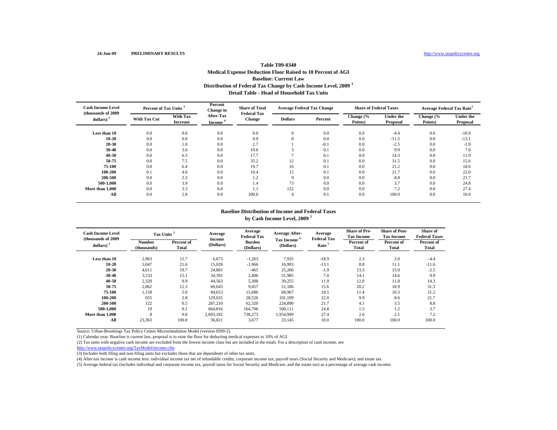# **Distribution of Federal Tax Change by Cash Income Level, 2009 <sup>1</sup> Detail Table - Head of Household Tax UnitsTable T09-0340Medical Expense Deduction Floor Raised to 10 Percent of AGI Baseline: Current Law**

| <b>Cash Income Level</b><br>(thousands of 2009) | Percent of Tax Units <sup>3</sup> |                             | Percent<br>Change in       | <b>Share of Total</b><br><b>Federal Tax</b> |                | <b>Average Federal Tax Change</b> | <b>Share of Federal Taxes</b> |                              | <b>Average Federal Tax Rate<sup>5</sup></b> |                              |
|-------------------------------------------------|-----------------------------------|-----------------------------|----------------------------|---------------------------------------------|----------------|-----------------------------------|-------------------------------|------------------------------|---------------------------------------------|------------------------------|
| dollars) $2$                                    | <b>With Tax Cut</b>               | With Tax<br><b>Increase</b> | <b>After-Tax</b><br>Income | Change                                      | <b>Dollars</b> | Percent                           | Change (%<br>Points)          | <b>Under the</b><br>Proposal | Change (%<br>Points)                        | <b>Under the</b><br>Proposal |
| Less than 10                                    | 0.0                               | 0.0                         | 0.0                        | 0.0                                         | $\mathbf{0}$   | 0.0                               | 0.0                           | $-4.4$                       | 0.0                                         | $-18.9$                      |
| $10 - 20$                                       | 0.0                               | 0.0                         | 0.0                        | 0.0                                         | $\Omega$       | 0.0                               | 0.0                           | $-11.5$                      | 0.0                                         | $-13.1$                      |
| 20-30                                           | 0.0                               | 1.0                         | 0.0                        | 2.7                                         |                | $-0.1$                            | 0.0                           | $-2.5$                       | 0.0                                         | $-1.9$                       |
| $30 - 40$                                       | 0.0                               | 3.6                         | 0.0                        | 10.6                                        |                | 0.1                               | 0.0                           | 9.9                          | 0.0                                         | 7.0                          |
| 40-50                                           | 0.0                               | 6.3                         | 0.0                        | 17.7                                        |                | 0.1                               | 0.0                           | 14.3                         | 0.0                                         | 11.9                         |
| 50-75                                           | 0.0                               | 7.5                         | 0.0                        | 35.2                                        | 12             | 0.1                               | 0.0                           | 31.5                         | 0.0                                         | 15.6                         |
| 75-100                                          | 0.0                               | 6.4                         | 0.0                        | 19.7                                        | 16             | 0.1                               | 0.0                           | 21.2                         | 0.0                                         | 18.6                         |
| 100-200                                         | 0.1                               | 4.6                         | 0.0                        | 10.4                                        | 15             | 0.1                               | 0.0                           | 21.7                         | 0.0                                         | 22.0                         |
| 200-500                                         | 0.0                               | 2.3                         | 0.0                        | 1.2                                         | 9              | 0.0                               | 0.0                           | 8.8                          | 0.0                                         | 21.7                         |
| 500-1.000                                       | 0.0                               | 3.9                         | 0.0                        | 1.4                                         | 73             | 0.0                               | 0.0                           | 3.7                          | 0.0                                         | 24.8                         |
| More than 1,000                                 | 0.0                               | 3.3                         | 0.0                        | 1.1                                         | 122            | 0.0                               | 0.0                           | 7.2                          | 0.0                                         | 27.4                         |
| All                                             | 0.0                               | 2.8                         | 0.0                        | 100.0                                       |                | 0.1                               | 0.0                           | 100.0                        | 0.0                                         | 10.0                         |

# **Baseline Distribution of Income and Federal Taxesby Cash Income Level, 2009 <sup>1</sup>**

| <b>Cash Income Level</b><br>(thousands of 2009) | Tax Units <sup>3</sup> |                     | Average                                                                             | Average<br><b>Federal Tax</b> | <b>Average After-</b> | Average<br><b>Federal Tax</b> | <b>Share of Pre-</b><br><b>Tax Income</b> | <b>Share of Post-</b><br><b>Tax Income</b> | Share of<br><b>Federal Taxes</b> |
|-------------------------------------------------|------------------------|---------------------|-------------------------------------------------------------------------------------|-------------------------------|-----------------------|-------------------------------|-------------------------------------------|--------------------------------------------|----------------------------------|
| dollars) $2$                                    | Number<br>(thousands)  | Percent of<br>Total | Income<br><b>Tax Income</b><br><b>Burden</b><br>(Dollars)<br>(Dollars)<br>(Dollars) |                               | Rate <sup>5</sup>     | Percent of<br><b>Total</b>    | Percent of<br><b>Total</b>                | Percent of<br><b>Total</b>                 |                                  |
| Less than 10                                    | 2,963                  | 12.7                | 6,673                                                                               | $-1,263$                      | 7,935                 | $-18.9$                       | 2.3                                       | 3.0                                        | $-4.4$                           |
| $10 - 20$                                       | 5,047                  | 21.6                | 15,028                                                                              | $-1,966$                      | 16,993                | $-13.1$                       | 8.8                                       | 11.1                                       | $-11.6$                          |
| 20-30                                           | 4,611                  | 19.7                | 24,801                                                                              | $-465$                        | 25,266                | $-1.9$                        | 13.3                                      | 15.0                                       | $-2.5$                           |
| $30 - 40$                                       | 3,533                  | 15.1                | 34,391                                                                              | 2,406                         | 31,985                | 7.0                           | 14.1                                      | 14.6                                       | 9.9                              |
| $40 - 50$                                       | 2,320                  | 9.9                 | 44,563                                                                              | 5,308                         | 39,255                | 11.9                          | 12.0                                      | 11.8                                       | 14.3                             |
| 50-75                                           | 2,862                  | 12.3                | 60,643                                                                              | 9.457                         | 51,186                | 15.6                          | 20.2                                      | 18.9                                       | 31.5                             |
| 75-100                                          | 1,158                  | 5.0                 | 84,653                                                                              | 15.686                        | 68.967                | 18.5                          | 11.4                                      | 10.3                                       | 21.2                             |
| 100-200                                         | 655                    | 2.8                 | 129,635                                                                             | 28,526                        | 101,109               | 22.0                          | 9.9                                       | 8.6                                        | 21.7                             |
| 200-500                                         | 122                    | 0.5                 | 287.210                                                                             | 62,320                        | 224,890               | 21.7                          | 4.1                                       | 3.5                                        | 8.8                              |
| 500-1.000                                       | 19                     | 0.1                 | 664,816                                                                             | 164,706                       | 500.111               | 24.8                          | 1.5                                       | 1.2                                        | 3.7                              |
| More than 1,000                                 | 8                      | 0.0                 | 2,693,182                                                                           | 738,273                       | 1,954,909             | 27.4                          | 2.6                                       | 2.1                                        | 7.2                              |
| All                                             | 23,363                 | 100.0               | 36,821                                                                              | 3,677                         | 33,145                | 10.0                          | 100.0                                     | 100.0                                      | 100.0                            |

Source: Urban-Brookings Tax Policy Center Microsimulation Model (version 0509-2).

(1) Calendar year. Baseline is current law, proposal is to raise the floor for deducting medical expenses to 10% of AGI.

(2) Tax units with negative cash income are excluded from the lowest income class but are included in the totals. For a description of cash income, see

```
http://www.taxpolicycenter.org/TaxModel/income.cfm
```
(3) Includes both filing and non-filing units but excludes those that are dependents of other tax units.

(4) After-tax income is cash income less: individual income tax net of refundable credits; corporate income tax; payroll taxes (Social Security and Medicare); and estate tax.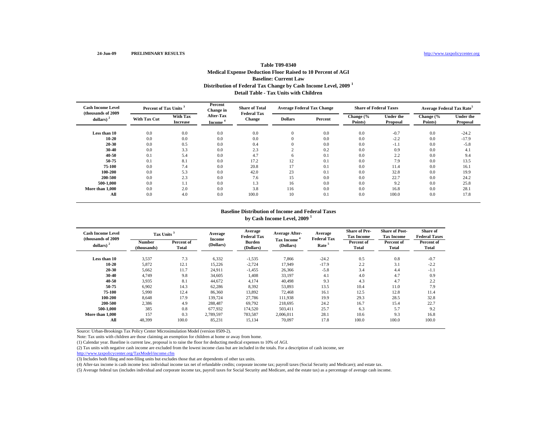# **Distribution of Federal Tax Change by Cash Income Level, 2009 <sup>1</sup> Detail Table - Tax Units with ChildrenTable T09-0340Medical Expense Deduction Floor Raised to 10 Percent of AGI Baseline: Current Law**

| <b>Cash Income Level</b><br>(thousands of 2009) | Percent of Tax Units <sup>3</sup> |                                    | Percent<br>Change in       | <b>Share of Total</b><br><b>Federal Tax</b> |                | <b>Average Federal Tax Change</b> | <b>Share of Federal Taxes</b> |                              | <b>Average Federal Tax Rate<sup>5</sup></b> |                              |
|-------------------------------------------------|-----------------------------------|------------------------------------|----------------------------|---------------------------------------------|----------------|-----------------------------------|-------------------------------|------------------------------|---------------------------------------------|------------------------------|
| dollars) $2$                                    | <b>With Tax Cut</b>               | <b>With Tax</b><br><b>Increase</b> | <b>After-Tax</b><br>Income | Change                                      | <b>Dollars</b> | Percent                           | Change (%<br>Points)          | <b>Under the</b><br>Proposal | Change (%<br>Points)                        | <b>Under the</b><br>Proposal |
| Less than 10                                    | 0.0                               | 0.0                                | 0.0                        | 0.0                                         | $\mathbf{0}$   | 0.0                               | 0.0                           | $-0.7$                       | 0.0                                         | $-24.2$                      |
| $10 - 20$                                       | 0.0                               | 0.0                                | 0.0                        | 0.0                                         |                | 0.0                               | 0.0                           | $-2.2$                       | 0.0                                         | $-17.9$                      |
| 20-30                                           | 0.0                               | 0.5                                | 0.0                        | 0.4                                         | $\mathbf{0}$   | 0.0                               | 0.0                           | $-1.1$                       | 0.0                                         | $-5.8$                       |
| $30 - 40$                                       | 0.0                               | 3.3                                | 0.0                        | 2.3                                         | $\sim$         | 0.2                               | 0.0                           | 0.9                          | 0.0                                         | 4.1                          |
| 40-50                                           | 0.1                               | 5.4                                | 0.0                        | 4.7                                         | 6              | 0.1                               | 0.0                           | 2.2                          | 0.0                                         | 9.4                          |
| 50-75                                           | 0.1                               | 8.1                                | 0.0                        | 17.2                                        | 12             | 0.1                               | 0.0                           | 7.9                          | 0.0                                         | 13.5                         |
| 75-100                                          | 0.0                               | 7.4                                | 0.0                        | 20.8                                        | 17             | 0.1                               | 0.0                           | 11.4                         | 0.0                                         | 16.1                         |
| 100-200                                         | 0.0                               | 5.3                                | 0.0                        | 42.0                                        | 23             | 0.1                               | 0.0                           | 32.8                         | 0.0                                         | 19.9                         |
| 200-500                                         | 0.0                               | 2.3                                | 0.0                        | 7.6                                         | 15             | 0.0                               | 0.0                           | 22.7                         | 0.0                                         | 24.2                         |
| 500-1.000                                       | 0.0                               | 1.1                                | 0.0                        | 1.3                                         | 16             | 0.0                               | 0.0                           | 9.2                          | 0.0                                         | 25.8                         |
| More than 1,000                                 | 0.0                               | 2.0                                | 0.0                        | 3.8                                         | 116            | 0.0                               | 0.0                           | 16.8                         | 0.0                                         | 28.1                         |
| All                                             | 0.0                               | 4.0                                | 0.0                        | 100.0                                       | 10             | 0.1                               | 0.0                           | 100.0                        | 0.0                                         | 17.8                         |

# **Baseline Distribution of Income and Federal Taxesby Cash Income Level, 2009 <sup>1</sup>**

| <b>Cash Income Level</b><br>(thousands of 2009) | Tax Units <sup>3</sup> |                     | Average<br>Income | Average<br><b>Federal Tax</b>                                                     | <b>Average After-</b> | Average<br><b>Federal Tax</b> | <b>Share of Pre-</b><br><b>Tax Income</b> | <b>Share of Post-</b><br><b>Tax Income</b> | <b>Share of</b><br><b>Federal Taxes</b> |
|-------------------------------------------------|------------------------|---------------------|-------------------|-----------------------------------------------------------------------------------|-----------------------|-------------------------------|-------------------------------------------|--------------------------------------------|-----------------------------------------|
| dollars) $2$                                    | Number<br>(thousands)  | Percent of<br>Total | (Dollars)         | <b>Tax Income</b><br><b>Burden</b><br>Rate <sup>5</sup><br>(Dollars)<br>(Dollars) |                       |                               | Percent of<br>Total                       | Percent of<br><b>Total</b>                 | Percent of<br><b>Total</b>              |
| Less than 10                                    | 3,537                  | 7.3                 | 6,332             | $-1,535$                                                                          | 7,866                 | $-24.2$                       | 0.5                                       | 0.8                                        | $-0.7$                                  |
| $10 - 20$                                       | 5,872                  | 12.1                | 15,226            | $-2,724$                                                                          | 17.949                | $-17.9$                       | 2.2                                       | 3.1                                        | $-2.2$                                  |
| 20-30                                           | 5,662                  | 11.7                | 24,911            | $-1,455$                                                                          | 26,366                | $-5.8$                        | 3.4                                       | 4.4                                        | $-1.1$                                  |
| $30 - 40$                                       | 4,749                  | 9.8                 | 34,605            | 1,408                                                                             | 33,197                | 4.1                           | 4.0                                       | 4.7                                        | 0.9                                     |
| $40 - 50$                                       | 3,935                  | 8.1                 | 44,672            | 4,174                                                                             | 40,498                | 9.3                           | 4.3                                       | 4.7                                        | 2.2                                     |
| 50-75                                           | 6,902                  | 14.3                | 62,286            | 8,392                                                                             | 53,893                | 13.5                          | 10.4                                      | 11.0                                       | 7.9                                     |
| 75-100                                          | 5,990                  | 12.4                | 86,360            | 13,892                                                                            | 72,468                | 16.1                          | 12.5                                      | 12.8                                       | 11.4                                    |
| 100-200                                         | 8.648                  | 17.9                | 139,724           | 27.786                                                                            | 111,938               | 19.9                          | 29.3                                      | 28.5                                       | 32.8                                    |
| 200-500                                         | 2,386                  | 4.9                 | 288,487           | 69,792                                                                            | 218,695               | 24.2                          | 16.7                                      | 15.4                                       | 22.7                                    |
| 500-1.000                                       | 385                    | 0.8                 | 677,932           | 174,520                                                                           | 503,411               | 25.7                          | 6.3                                       | 5.7                                        | 9.2                                     |
| More than 1,000                                 | 157                    | 0.3                 | 2,789,597         | 783,587                                                                           | 2,006,011             | 28.1                          | 10.6                                      | 9.3                                        | 16.8                                    |
| All                                             | 48,399                 | 100.0               | 85,231            | 15,134                                                                            | 70,097                | 17.8                          | 100.0                                     | 100.0                                      | 100.0                                   |

Source: Urban-Brookings Tax Policy Center Microsimulation Model (version 0509-2).

Note: Tax units with children are those claiming an exemption for children at home or away from home.

(1) Calendar year. Baseline is current law, proposal is to raise the floor for deducting medical expenses to 10% of AGI.

(2) Tax units with negative cash income are excluded from the lowest income class but are included in the totals. For a description of cash income, see

http://www.taxpolicycenter.org/TaxModel/income.cfm

(3) Includes both filing and non-filing units but excludes those that are dependents of other tax units.

(4) After-tax income is cash income less: individual income tax net of refundable credits; corporate income tax; payroll taxes (Social Security and Medicare); and estate tax.